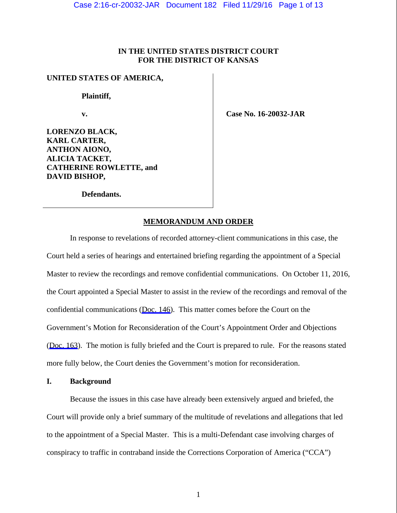# **IN THE UNITED STATES DISTRICT COURT FOR THE DISTRICT OF KANSAS**

# **UNITED STATES OF AMERICA,**

 **Plaintiff,** 

 **v.** 

 **Case No. 16-20032-JAR** 

**LORENZO BLACK, KARL CARTER, ANTHON AIONO, ALICIA TACKET, CATHERINE ROWLETTE, and DAVID BISHOP,** 

 **Defendants.** 

# **MEMORANDUM AND ORDER**

 In response to revelations of recorded attorney-client communications in this case, the Court held a series of hearings and entertained briefing regarding the appointment of a Special Master to review the recordings and remove confidential communications. On October 11, 2016, the Court appointed a Special Master to assist in the review of the recordings and removal of the confidential communications ([Doc. 146\)](https://jenie.ao.dcn/ksd-ecf/d/cmecfservices/rest/file/finddoc?caseYear=2016&caseNum=20032&caseType=cr&caseOffice=2&docNum=146). This matter comes before the Court on the Government's Motion for Reconsideration of the Court's Appointment Order and Objections ([Doc. 163](https://jenie.ao.dcn/ksd-ecf/d/cmecfservices/rest/file/finddoc?caseYear=2016&caseNum=20032&caseType=cr&caseOffice=2&docNum=163)). The motion is fully briefed and the Court is prepared to rule. For the reasons stated more fully below, the Court denies the Government's motion for reconsideration.

# **I. Background**

Because the issues in this case have already been extensively argued and briefed, the Court will provide only a brief summary of the multitude of revelations and allegations that led to the appointment of a Special Master. This is a multi-Defendant case involving charges of conspiracy to traffic in contraband inside the Corrections Corporation of America ("CCA")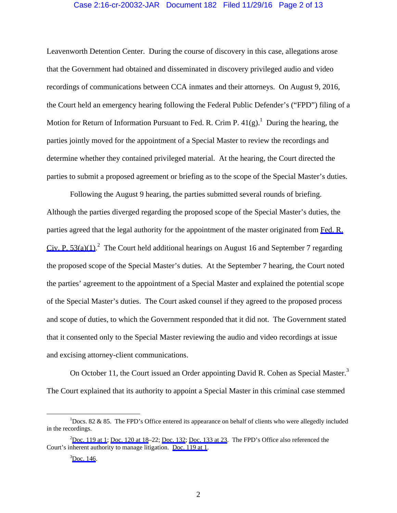### Case 2:16-cr-20032-JAR Document 182 Filed 11/29/16 Page 2 of 13

Leavenworth Detention Center. During the course of discovery in this case, allegations arose that the Government had obtained and disseminated in discovery privileged audio and video recordings of communications between CCA inmates and their attorneys. On August 9, 2016, the Court held an emergency hearing following the Federal Public Defender's ("FPD") filing of a Motion for Return of Information Pursuant to Fed. R. Crim P.  $41(g)$ . During the hearing, the parties jointly moved for the appointment of a Special Master to review the recordings and determine whether they contained privileged material. At the hearing, the Court directed the parties to submit a proposed agreement or briefing as to the scope of the Special Master's duties.

Following the August 9 hearing, the parties submitted several rounds of briefing. Although the parties diverged regarding the proposed scope of the Special Master's duties, the parties agreed that the legal authority for the appointment of the master originated from [Fed. R.](https://www.westlaw.com/Link/Document/FullText?rs=USCLink&vr=3.0&findType=Y&cite=FRCP+53(a)(1)&clientid=USCourts) Civ. P.  $53(a)(1)$ .<sup>2</sup> The Court held additional hearings on August 16 and September 7 regarding the proposed scope of the Special Master's duties. At the September 7 hearing, the Court noted the parties' agreement to the appointment of a Special Master and explained the potential scope of the Special Master's duties. The Court asked counsel if they agreed to the proposed process and scope of duties, to which the Government responded that it did not. The Government stated that it consented only to the Special Master reviewing the audio and video recordings at issue and excising attorney-client communications.

On October 11, the Court issued an Order appointing David R. Cohen as Special Master.<sup>3</sup> The Court explained that its authority to appoint a Special Master in this criminal case stemmed

 $\frac{1}{1}$  $\log$  85. The FPD's Office entered its appearance on behalf of clients who were allegedly included in the recordings.

 $2^{2}$ [Doc. 119 at 1](https://jenie.ao.dcn/ksd-ecf/d/cmecfservices/rest/file/finddoc?caseYear=2016&caseNum=20032&caseType=cr&caseOffice=2&docNum=119); [Doc. 120 at 18](https://jenie.ao.dcn/ksd-ecf/d/cmecfservices/rest/file/finddoc?caseYear=2016&caseNum=20032&caseType=cr&caseOffice=2&docNum=120#page=18)–22; [Doc. 132](https://jenie.ao.dcn/ksd-ecf/d/cmecfservices/rest/file/finddoc?caseYear=2016&caseNum=20032&caseType=cr&caseOffice=2&docNum=132); [Doc. 133 at 23](https://jenie.ao.dcn/ksd-ecf/d/cmecfservices/rest/file/finddoc?caseYear=2016&caseNum=20032&caseType=cr&caseOffice=2&docNum=133#page=23). The FPD's Office also referenced the Court's inherent authority to manage litigation. [Doc. 119 at 1.](https://jenie.ao.dcn/ksd-ecf/d/cmecfservices/rest/file/finddoc?caseYear=2016&caseNum=20032&caseType=cr&caseOffice=2&docNum=119)

 ${}^{3}$ [Doc. 146.](https://jenie.ao.dcn/ksd-ecf/d/cmecfservices/rest/file/finddoc?caseYear=2016&caseNum=20032&caseType=cr&caseOffice=2&docNum=146)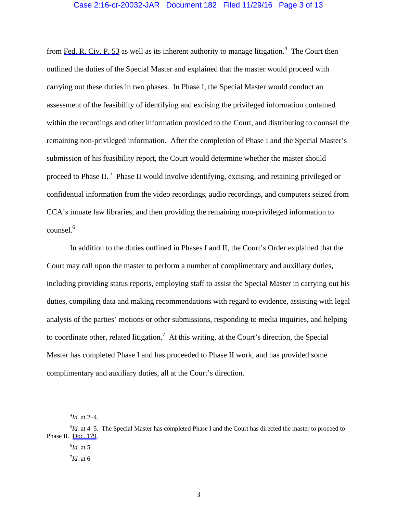## Case 2:16-cr-20032-JAR Document 182 Filed 11/29/16 Page 3 of 13

from [Fed. R. Civ. P. 53](https://www.westlaw.com/Link/Document/FullText?rs=USCLink&vr=3.0&findType=Y&cite=FRCP+53&clientid=USCourts) as well as its inherent authority to manage litigation.<sup>4</sup> The Court then outlined the duties of the Special Master and explained that the master would proceed with carrying out these duties in two phases. In Phase I, the Special Master would conduct an assessment of the feasibility of identifying and excising the privileged information contained within the recordings and other information provided to the Court, and distributing to counsel the remaining non-privileged information. After the completion of Phase I and the Special Master's submission of his feasibility report, the Court would determine whether the master should proceed to Phase II.<sup>5</sup> Phase II would involve identifying, excising, and retaining privileged or confidential information from the video recordings, audio recordings, and computers seized from CCA's inmate law libraries, and then providing the remaining non-privileged information to counsel.<sup>6</sup>

In addition to the duties outlined in Phases I and II, the Court's Order explained that the Court may call upon the master to perform a number of complimentary and auxiliary duties, including providing status reports, employing staff to assist the Special Master in carrying out his duties, compiling data and making recommendations with regard to evidence, assisting with legal analysis of the parties' motions or other submissions, responding to media inquiries, and helping to coordinate other, related litigation.<sup>7</sup> At this writing, at the Court's direction, the Special Master has completed Phase I and has proceeded to Phase II work, and has provided some complimentary and auxiliary duties, all at the Court's direction.

 $\frac{1}{4}$ *Id.* at 2–4.

<sup>&</sup>lt;sup>5</sup>*Id.* at 4–5. The Special Master has completed Phase I and the Court has directed the master to proceed to Phase II. [Doc. 179.](https://jenie.ao.dcn/ksd-ecf/d/cmecfservices/rest/file/finddoc?caseYear=2016&caseNum=20032&caseType=cr&caseOffice=2&docNum=179)

<sup>6</sup> *Id.* at 5.

<sup>7</sup> *Id.* at 6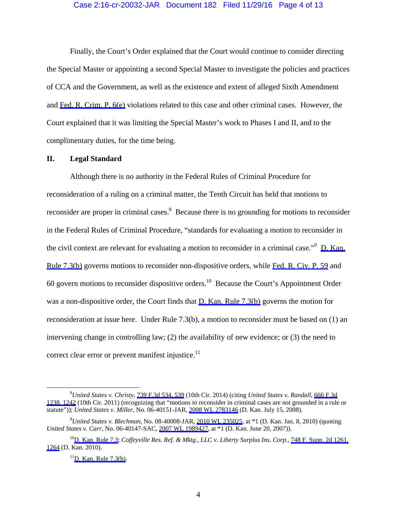#### Case 2:16-cr-20032-JAR Document 182 Filed 11/29/16 Page 4 of 13

Finally, the Court's Order explained that the Court would continue to consider directing the Special Master or appointing a second Special Master to investigate the policies and practices of CCA and the Government, as well as the existence and extent of alleged Sixth Amendment and [Fed. R. Crim. P. 6\(e\)](https://www.westlaw.com/Link/Document/FullText?rs=USCLink&vr=3.0&findType=Y&cite=FRCRP+6(e)&clientid=USCourts) violations related to this case and other criminal cases. However, the Court explained that it was limiting the Special Master's work to Phases I and II, and to the complimentary duties, for the time being.

### **II. Legal Standard**

Although there is no authority in the Federal Rules of Criminal Procedure for reconsideration of a ruling on a criminal matter, the Tenth Circuit has held that motions to reconsider are proper in criminal cases. $8$  Because there is no grounding for motions to reconsider in the Federal Rules of Criminal Procedure, "standards for evaluating a motion to reconsider in the civil context are relevant for evaluating a motion to reconsider in a criminal case."<sup>9</sup> D. Kan. [Rule 7.3\(b\)](https://www.westlaw.com/Link/Document/FullText?rs=USCLink&vr=3.0&findType=Y&cite=KS+US+DIST+CT+RULE+7.3&clientid=USCourts) governs motions to reconsider non-dispositive orders, while [Fed. R. Civ. P. 59](https://www.westlaw.com/Link/Document/FullText?rs=USCLink&vr=3.0&findType=Y&cite=FRCP+59&clientid=USCourts) and 60 govern motions to reconsider dispositive orders.10 Because the Court's Appointment Order was a non-dispositive order, the Court finds that [D. Kan. Rule 7.3\(b\)](https://www.westlaw.com/Link/Document/FullText?rs=USCLink&vr=3.0&findType=Y&cite=KS+US+DIST+CT+RULE+7.3&clientid=USCourts) governs the motion for reconsideration at issue here. Under Rule 7.3(b), a motion to reconsider must be based on (1) an intervening change in controlling law; (2) the availability of new evidence; or (3) the need to correct clear error or prevent manifest injustice. $^{11}$ 

 $\frac{1}{8}$ *United States v. Christy*, [739 F.3d 534, 539](https://www.westlaw.com/Link/Document/FullText?rs=USCLink&vr=3.0&findType=Y&cite=739+f.3d+534&refPos=539&refPosType=s&clientid=USCourts) (10th Cir. 2014) (citing *United States v. Randall*, [666 F.3d](https://www.westlaw.com/Link/Document/FullText?rs=USCLink&vr=3.0&findType=Y&cite=666+f.3d+1238&refPos=1242&refPosType=s&clientid=USCourts) [1238, 1242](https://www.westlaw.com/Link/Document/FullText?rs=USCLink&vr=3.0&findType=Y&cite=666+f.3d+1238&refPos=1242&refPosType=s&clientid=USCourts) (10th Cir. 2011) (recognizing that "motions to reconsider in criminal cases are not grounded in a rule or statute")); *United States v. Miller*, No. 06-40151-JAR, [2008 WL 2783146](https://www.westlaw.com/Link/Document/FullText?rs=USCLink&vr=3.0&findType=Y&cite=2008++wl++2783146&refPos=2783146&refPosType=s&clientid=USCourts) (D. Kan. July 15, 2008).

<sup>9</sup> *United States v. Blechman*, No. 08-40008-JAR, [2010 WL 235025](https://www.westlaw.com/Link/Document/FullText?rs=USCLink&vr=3.0&findType=Y&cite=2010++wl++235025&refPos=235025&refPosType=s&clientid=USCourts), at \*1 (D. Kan. Jan. 8, 2010) (quoting *United States v. Carr*, No. 06-40147-SAC, [2007 WL 1989427,](https://www.westlaw.com/Link/Document/FullText?rs=USCLink&vr=3.0&findType=Y&cite=2007++wl++1989427&refPos=1989427&refPosType=s&clientid=USCourts) at \*1 (D. Kan. June 20, 2007)).

<sup>1</sup>[0D. Kan. Rule 7.3](https://www.westlaw.com/Link/Document/FullText?rs=USCLink&vr=3.0&findType=Y&cite=KS+US+DIST+CT+RULE++7.3&clientid=USCourts); *Coffeyville Res. Ref. & Mktg., LLC v. Liberty Surplus Ins. Corp.*, [748 F. Supp. 2d 1261,](https://www.westlaw.com/Link/Document/FullText?rs=USCLink&vr=3.0&findType=Y&cite=748++f.++supp.++2d++1261&refPos=1264&refPosType=s&clientid=USCourts)  [1264](https://www.westlaw.com/Link/Document/FullText?rs=USCLink&vr=3.0&findType=Y&cite=748++f.++supp.++2d++1261&refPos=1264&refPosType=s&clientid=USCourts) (D. Kan. 2010).

 $<sup>11</sup>D$ . Kan. Rule 7.3(b).</sup>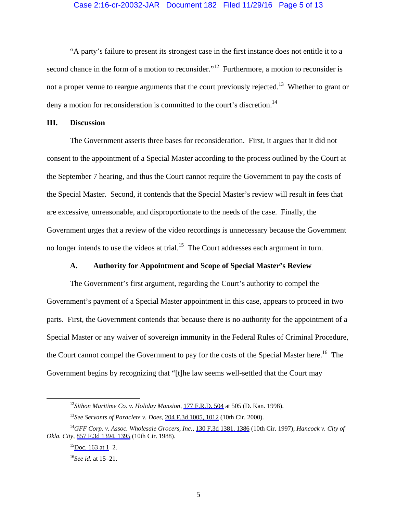#### Case 2:16-cr-20032-JAR Document 182 Filed 11/29/16 Page 5 of 13

"A party's failure to present its strongest case in the first instance does not entitle it to a second chance in the form of a motion to reconsider."<sup>12</sup> Furthermore, a motion to reconsider is not a proper venue to reargue arguments that the court previously rejected.<sup>13</sup> Whether to grant or deny a motion for reconsideration is committed to the court's discretion.<sup>14</sup>

## **III. Discussion**

 The Government asserts three bases for reconsideration. First, it argues that it did not consent to the appointment of a Special Master according to the process outlined by the Court at the September 7 hearing, and thus the Court cannot require the Government to pay the costs of the Special Master. Second, it contends that the Special Master's review will result in fees that are excessive, unreasonable, and disproportionate to the needs of the case. Finally, the Government urges that a review of the video recordings is unnecessary because the Government no longer intends to use the videos at trial.<sup>15</sup> The Court addresses each argument in turn.

#### **A. Authority for Appointment and Scope of Special Master's Review**

 The Government's first argument, regarding the Court's authority to compel the Government's payment of a Special Master appointment in this case, appears to proceed in two parts. First, the Government contends that because there is no authority for the appointment of a Special Master or any waiver of sovereign immunity in the Federal Rules of Criminal Procedure, the Court cannot compel the Government to pay for the costs of the Special Master here.<sup>16</sup> The Government begins by recognizing that "[t]he law seems well-settled that the Court may

 <sup>12</sup>*Sithon Maritime Co. v. Holiday Mansion*, [177 F.R.D. 504](https://www.westlaw.com/Link/Document/FullText?rs=USCLink&vr=3.0&findType=Y&cite=177+f.r.d.+504&refPos=504&refPosType=s&clientid=USCourts) at 505 (D. Kan. 1998).

<sup>13</sup>*See Servants of Paraclete v. Does*, [204 F.3d 1005, 1012](https://www.westlaw.com/Link/Document/FullText?rs=USCLink&vr=3.0&findType=Y&cite=204++f.3d++1005&refPos=1012&refPosType=s&clientid=USCourts) (10th Cir. 2000).

<sup>14</sup>*GFF Corp. v. Assoc. Wholesale Grocers, Inc.*, [130 F.3d 1381, 1386](https://www.westlaw.com/Link/Document/FullText?rs=USCLink&vr=3.0&findType=Y&cite=130++f.3d++1381&refPos=1386&refPosType=s&clientid=USCourts) (10th Cir. 1997); *Hancock v. City of Okla. City*, [857 F.3d 1394, 1395](https://www.westlaw.com/Link/Document/FullText?rs=USCLink&vr=3.0&findType=Y&cite=857++f.3d++1394&refPos=1395&refPosType=s&clientid=USCourts) (10th Cir. 1988).

 $^{15}$ Doc. 163 at 1–2.

<sup>16</sup>*See id.* at 15–21.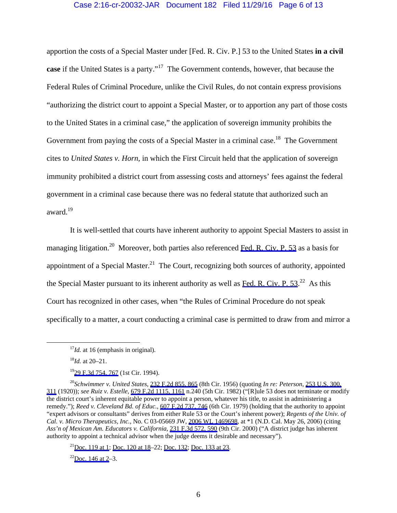### Case 2:16-cr-20032-JAR Document 182 Filed 11/29/16 Page 6 of 13

apportion the costs of a Special Master under [Fed. R. Civ. P.] 53 to the United States **in a civil case** if the United States is a party."<sup>17</sup> The Government contends, however, that because the Federal Rules of Criminal Procedure, unlike the Civil Rules, do not contain express provisions "authorizing the district court to appoint a Special Master, or to apportion any part of those costs to the United States in a criminal case," the application of sovereign immunity prohibits the Government from paying the costs of a Special Master in a criminal case.<sup>18</sup> The Government cites to *United States v. Horn*, in which the First Circuit held that the application of sovereign immunity prohibited a district court from assessing costs and attorneys' fees against the federal government in a criminal case because there was no federal statute that authorized such an award.<sup>19</sup>

 It is well-settled that courts have inherent authority to appoint Special Masters to assist in managing litigation.<sup>20</sup> Moreover, both parties also referenced [Fed. R. Civ. P. 53](https://www.westlaw.com/Link/Document/FullText?rs=USCLink&vr=3.0&findType=Y&cite=FRCP+53&clientid=USCourts) as a basis for appointment of a Special Master.<sup>21</sup> The Court, recognizing both sources of authority, appointed the Special Master pursuant to its inherent authority as well as Fed. R. Civ. P.  $53.^{22}$  As this Court has recognized in other cases, when "the Rules of Criminal Procedure do not speak specifically to a matter, a court conducting a criminal case is permitted to draw from and mirror a

<sup>21</sup>Doc. 119 at 1; [Doc. 120 at 18](https://jenie.ao.dcn/ksd-ecf/d/cmecfservices/rest/file/finddoc?caseYear=2016&caseNum=20032&caseType=cr&caseOffice=2&docNum=120#page=18)–22; [Doc. 132](https://jenie.ao.dcn/ksd-ecf/d/cmecfservices/rest/file/finddoc?caseYear=2016&caseNum=20032&caseType=cr&caseOffice=2&docNum=132); [Doc. 133 at 23.](https://jenie.ao.dcn/ksd-ecf/d/cmecfservices/rest/file/finddoc?caseYear=2016&caseNum=20032&caseType=cr&caseOffice=2&docNum=133#page=23)

 $^{22}$ Doc. 146 at 2–3.

 $17$ *Id.* at 16 (emphasis in original).

<sup>18</sup>*Id.* at 20–21.

<sup>&</sup>lt;sup>19</sup>29 F.3d 754, 767 (1st Cir. 1994).

<sup>20</sup>*Schwimmer v. United States*, [232 F.2d 855, 865](https://www.westlaw.com/Link/Document/FullText?rs=USCLink&vr=3.0&findType=Y&cite=232++f.2d++855&refPos=865&refPosType=s&clientid=USCourts) (8th Cir. 1956) (quoting *In re: Peterson*, [253 U.S. 300,](https://www.westlaw.com/Link/Document/FullText?rs=USCLink&vr=3.0&findType=Y&cite=253++u.s.++300&refPos=311&refPosType=s&clientid=USCourts)  [311](https://www.westlaw.com/Link/Document/FullText?rs=USCLink&vr=3.0&findType=Y&cite=253++u.s.++300&refPos=311&refPosType=s&clientid=USCourts) (1920)); *see Ruiz v. Estelle*, [679 F.2d 1115, 1161](https://www.westlaw.com/Link/Document/FullText?rs=USCLink&vr=3.0&findType=Y&cite=679++f.2d++1115&refPos=1161&refPosType=s&clientid=USCourts) n.240 (5th Cir. 1982) ("[R]ule 53 does not terminate or modify the district court's inherent equitable power to appoint a person, whatever his title, to assist in administering a remedy."); *Reed v. Cleveland Bd. of Educ.*, [607 F.2d 737, 746](https://www.westlaw.com/Link/Document/FullText?rs=USCLink&vr=3.0&findType=Y&cite=607++f.2d++737&refPos=746&refPosType=s&clientid=USCourts) (6th Cir. 1979) (holding that the authority to appoint "expert advisors or consultants" derives from either Rule 53 or the Court's inherent power); *Regents of the Univ. of Cal. v. Micro Therapeutics, Inc.*, No. C 03-05669 JW, [2006 WL 1469698,](https://www.westlaw.com/Link/Document/FullText?rs=USCLink&vr=3.0&findType=Y&cite=2006++wl++1469698&refPos=1469698&refPosType=s&clientid=USCourts) at \*1 (N.D. Cal. May 26, 2006) (citing *Ass'n of Mexican Am. Educators v. California*, [231 F.3d 572, 590](https://www.westlaw.com/Link/Document/FullText?rs=USCLink&vr=3.0&findType=Y&cite=231++f.3d++572&refPos=590&refPosType=s&clientid=USCourts) (9th Cir. 2000) ("A district judge has inherent authority to appoint a technical advisor when the judge deems it desirable and necessary").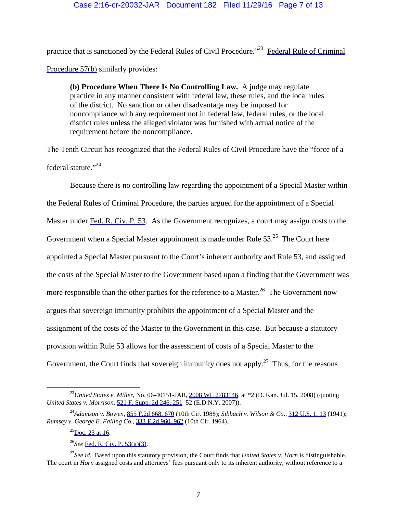practice that is sanctioned by the Federal Rules of Civil Procedure."23 [Federal Rule of Criminal](https://www.westlaw.com/Link/Document/FullText?rs=USCLink&vr=3.0&findType=Y&cite=FRCRP+57(b)&clientid=USCourts)  [Procedure 57\(b\)](https://www.westlaw.com/Link/Document/FullText?rs=USCLink&vr=3.0&findType=Y&cite=FRCRP+57(b)&clientid=USCourts) similarly provides:

**(b) Procedure When There Is No Controlling Law.** A judge may regulate practice in any manner consistent with federal law, these rules, and the local rules of the district. No sanction or other disadvantage may be imposed for noncompliance with any requirement not in federal law, federal rules, or the local district rules unless the alleged violator was furnished with actual notice of the requirement before the noncompliance.

The Tenth Circuit has recognized that the Federal Rules of Civil Procedure have the "force of a federal statute."<sup>24</sup>

 Because there is no controlling law regarding the appointment of a Special Master within the Federal Rules of Criminal Procedure, the parties argued for the appointment of a Special Master under [Fed. R. Civ. P. 53.](https://www.westlaw.com/Link/Document/FullText?rs=USCLink&vr=3.0&findType=Y&cite=FRCP+53&clientid=USCourts) As the Government recognizes, a court may assign costs to the Government when a Special Master appointment is made under Rule 53.<sup>25</sup> The Court here appointed a Special Master pursuant to the Court's inherent authority and Rule 53, and assigned the costs of the Special Master to the Government based upon a finding that the Government was more responsible than the other parties for the reference to a Master.<sup>26</sup> The Government now argues that sovereign immunity prohibits the appointment of a Special Master and the assignment of the costs of the Master to the Government in this case. But because a statutory provision within Rule 53 allows for the assessment of costs of a Special Master to the Government, the Court finds that sovereign immunity does not apply.<sup>27</sup> Thus, for the reasons

 <sup>23</sup>*United States v. Miller*, No. 06-40151-JAR, [2008 WL 2783146](https://www.westlaw.com/Link/Document/FullText?rs=USCLink&vr=3.0&findType=Y&cite=2008+wl+2783146&refPos=2783146&refPosType=s&clientid=USCourts), at \*2 (D. Kan. Jul. 15, 2008) (quoting *United States v. Morrison*, [521 F. Supp. 2d 246, 251](https://www.westlaw.com/Link/Document/FullText?rs=USCLink&vr=3.0&findType=Y&cite=521++f.++supp.++2d++246&refPos=251&refPosType=s&clientid=USCourts)–52 (E.D.N.Y. 2007)).

<sup>24</sup>*Adamson v. Bowen*, [855 F.2d 668, 670](https://www.westlaw.com/Link/Document/FullText?rs=USCLink&vr=3.0&findType=Y&cite=855++f.2d++668&refPos=670&refPosType=s&clientid=USCourts) (10th Cir. 1988); *Sibbach v. Wilson & Co.*, [312 U.S. 1, 13](https://www.westlaw.com/Link/Document/FullText?rs=USCLink&vr=3.0&findType=Y&cite=312++u.s.++1&refPos=13&refPosType=s&clientid=USCourts) (1941); *Rumsey v. George E. Failing Co.*, [333 F.2d 960, 962](https://www.westlaw.com/Link/Document/FullText?rs=USCLink&vr=3.0&findType=Y&cite=333++f.2d++960&refPos=962&refPosType=s&clientid=USCourts) (10th Cir. 1964).

 $^{25}$ Doc. 23 at 16.

<sup>26</sup>*See* [Fed. R. Civ. P. 53\(g\)\(3\).](https://www.westlaw.com/Link/Document/FullText?rs=USCLink&vr=3.0&findType=Y&cite=FRCP++53(g)(3)&clientid=USCourts)

<sup>27</sup>*See id.* Based upon this statutory provision, the Court finds that *United States v. Horn* is distinguishable. The court in *Horn* assigned costs and attorneys' fees pursuant only to its inherent authority, without reference to a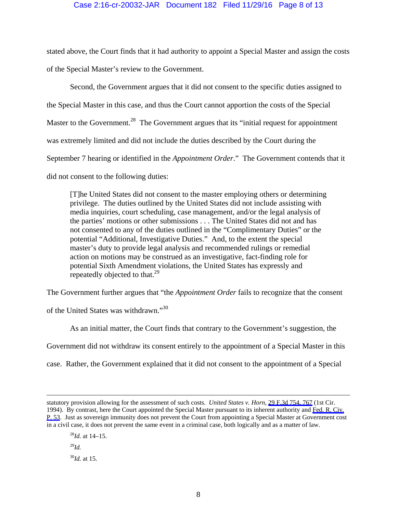stated above, the Court finds that it had authority to appoint a Special Master and assign the costs of the Special Master's review to the Government.

 Second, the Government argues that it did not consent to the specific duties assigned to the Special Master in this case, and thus the Court cannot apportion the costs of the Special Master to the Government.<sup>28</sup> The Government argues that its "initial request for appointment" was extremely limited and did not include the duties described by the Court during the September 7 hearing or identified in the *Appointment Order*." The Government contends that it did not consent to the following duties:

[T]he United States did not consent to the master employing others or determining privilege. The duties outlined by the United States did not include assisting with media inquiries, court scheduling, case management, and/or the legal analysis of the parties' motions or other submissions . . . The United States did not and has not consented to any of the duties outlined in the "Complimentary Duties" or the potential "Additional, Investigative Duties." And, to the extent the special master's duty to provide legal analysis and recommended rulings or remedial action on motions may be construed as an investigative, fact-finding role for potential Sixth Amendment violations, the United States has expressly and repeatedly objected to that.<sup>29</sup>

The Government further argues that "the *Appointment Order* fails to recognize that the consent

of the United States was withdrawn."<sup>30</sup>

As an initial matter, the Court finds that contrary to the Government's suggestion, the

Government did not withdraw its consent entirely to the appointment of a Special Master in this

case. Rather, the Government explained that it did not consent to the appointment of a Special

<sup>28</sup>*Id.* at 14–15.

<sup>29</sup>*Id.*

<sup>30</sup>*Id.* at 15.

statutory provision allowing for the assessment of such costs. *United States v. Horn*, [29 F.3d 754, 767](https://www.westlaw.com/Link/Document/FullText?rs=USCLink&vr=3.0&findType=Y&cite=29+f.3d+754&refPos=767&refPosType=s&clientid=USCourts) (1st Cir. 1994). By contrast, here the Court appointed the Special Master pursuant to its inherent authority and [Fed. R. Civ.](https://www.westlaw.com/Link/Document/FullText?rs=USCLink&vr=3.0&findType=Y&cite=FRCP++53&clientid=USCourts)  [P. 53.](https://www.westlaw.com/Link/Document/FullText?rs=USCLink&vr=3.0&findType=Y&cite=FRCP++53&clientid=USCourts) Just as sovereign immunity does not prevent the Court from appointing a Special Master at Government cost in a civil case, it does not prevent the same event in a criminal case, both logically and as a matter of law.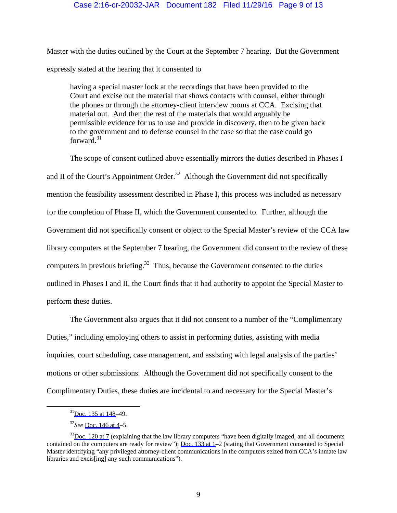## Case 2:16-cr-20032-JAR Document 182 Filed 11/29/16 Page 9 of 13

Master with the duties outlined by the Court at the September 7 hearing. But the Government expressly stated at the hearing that it consented to

having a special master look at the recordings that have been provided to the Court and excise out the material that shows contacts with counsel, either through the phones or through the attorney-client interview rooms at CCA. Excising that material out. And then the rest of the materials that would arguably be permissible evidence for us to use and provide in discovery, then to be given back to the government and to defense counsel in the case so that the case could go forward. $31$ 

The scope of consent outlined above essentially mirrors the duties described in Phases I and II of the Court's Appointment Order.<sup>32</sup> Although the Government did not specifically mention the feasibility assessment described in Phase I, this process was included as necessary for the completion of Phase II, which the Government consented to. Further, although the Government did not specifically consent or object to the Special Master's review of the CCA law library computers at the September 7 hearing, the Government did consent to the review of these computers in previous briefing.<sup>33</sup> Thus, because the Government consented to the duties outlined in Phases I and II, the Court finds that it had authority to appoint the Special Master to perform these duties.

The Government also argues that it did not consent to a number of the "Complimentary Duties," including employing others to assist in performing duties, assisting with media inquiries, court scheduling, case management, and assisting with legal analysis of the parties' motions or other submissions. Although the Government did not specifically consent to the Complimentary Duties, these duties are incidental to and necessary for the Special Master's

 <sup>3</sup>[1Doc. 135 at 148](https://jenie.ao.dcn/ksd-ecf/d/cmecfservices/rest/file/finddoc?caseYear=2016&caseNum=20032&caseType=cr&caseOffice=2&docNum=135#page=148)–49.

<sup>32</sup>*See* [Doc. 146 at 4–](https://jenie.ao.dcn/ksd-ecf/d/cmecfservices/rest/file/finddoc?caseYear=2016&caseNum=20032&caseType=cr&caseOffice=2&docNum=146#page=4)5.

 $33$ Doc. 120 at 7 (explaining that the law library computers "have been digitally imaged, and all documents contained on the computers are ready for review"); [Doc. 133 at 1–](https://jenie.ao.dcn/ksd-ecf/d/cmecfservices/rest/file/finddoc?caseYear=2016&caseNum=20032&caseType=cr&caseOffice=2&docNum=133)2 (stating that Government consented to Special Master identifying "any privileged attorney-client communications in the computers seized from CCA's inmate law libraries and excis[ing] any such communications").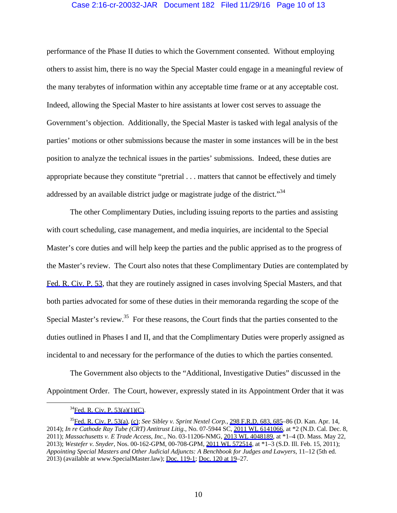## Case 2:16-cr-20032-JAR Document 182 Filed 11/29/16 Page 10 of 13

performance of the Phase II duties to which the Government consented. Without employing others to assist him, there is no way the Special Master could engage in a meaningful review of the many terabytes of information within any acceptable time frame or at any acceptable cost. Indeed, allowing the Special Master to hire assistants at lower cost serves to assuage the Government's objection. Additionally, the Special Master is tasked with legal analysis of the parties' motions or other submissions because the master in some instances will be in the best position to analyze the technical issues in the parties' submissions. Indeed, these duties are appropriate because they constitute "pretrial . . . matters that cannot be effectively and timely addressed by an available district judge or magistrate judge of the district.<sup> $34$ </sup>

The other Complimentary Duties, including issuing reports to the parties and assisting with court scheduling, case management, and media inquiries, are incidental to the Special Master's core duties and will help keep the parties and the public apprised as to the progress of the Master's review. The Court also notes that these Complimentary Duties are contemplated by [Fed. R. Civ. P. 53](https://www.westlaw.com/Link/Document/FullText?rs=USCLink&vr=3.0&findType=Y&cite=FRCP+53&clientid=USCourts), that they are routinely assigned in cases involving Special Masters, and that both parties advocated for some of these duties in their memoranda regarding the scope of the Special Master's review.<sup>35</sup> For these reasons, the Court finds that the parties consented to the duties outlined in Phases I and II, and that the Complimentary Duties were properly assigned as incidental to and necessary for the performance of the duties to which the parties consented.

The Government also objects to the "Additional, Investigative Duties" discussed in the Appointment Order. The Court, however, expressly stated in its Appointment Order that it was

 $34$ Fed. R. Civ. P. 53(a)(1)(C).

<sup>3</sup>[5Fed. R. Civ. P. 53\(a\)](https://www.westlaw.com/Link/Document/FullText?rs=USCLink&vr=3.0&findType=Y&cite=FRCP++53(a)&clientid=USCourts), [\(c\)](https://www.westlaw.com/Link/Document/FullText?rs=USCLink&vr=3.0&findType=Y&cite=FRCP53(c)&clientid=USCourts); *See Sibley v. Sprint Nextel Corp.*, [298 F.R.D. 683, 685](https://www.westlaw.com/Link/Document/FullText?rs=USCLink&vr=3.0&findType=Y&cite=298++f.r.d.++683&refPos=685&refPosType=s&clientid=USCourts)–86 (D. Kan. Apr. 14, 2014); *In re Cathode Ray Tube (CRT) Antitrust Litig.*, No. 07-5944 SC, [2011 WL 6141066](https://www.westlaw.com/Link/Document/FullText?rs=USCLink&vr=3.0&findType=Y&cite=2011++wl++6141066&refPos=6141066&refPosType=s&clientid=USCourts), at \*2 (N.D. Cal. Dec. 8, 2011); *Massachusetts v. E Trade Access, Inc.*, No. 03-11206-NMG, [2013 WL 4048189](https://www.westlaw.com/Link/Document/FullText?rs=USCLink&vr=3.0&findType=Y&cite=2013++wl++4048189&refPos=4048189&refPosType=s&clientid=USCourts), at \*1–4 (D. Mass. May 22, 2013); *Westefer v. Snyder*, Nos. 00-162-GPM, 00-708-GPM, [2011 WL 572514,](https://www.westlaw.com/Link/Document/FullText?rs=USCLink&vr=3.0&findType=Y&cite=2011++wl++572514&refPos=572514&refPosType=s&clientid=USCourts) at \*1–3 (S.D. Ill. Feb. 15, 2011); *Appointing Special Masters and Other Judicial Adjuncts: A Benchbook for Judges and Lawyers*, 11–12 (5th ed. 2013) (available at www.SpecialMaster.law); [Doc. 119-1](https://jenie.ao.dcn/ksd-ecf/d/cmecfservices/rest/file/finddoc?caseYear=2016&caseNum=20032&caseType=cr&caseOffice=2&docNum=119&docSeq=1); [Doc. 120 at 19](https://jenie.ao.dcn/ksd-ecf/d/cmecfservices/rest/file/finddoc?caseYear=2016&caseNum=20032&caseType=cr&caseOffice=2&docNum=120#page=19)–27.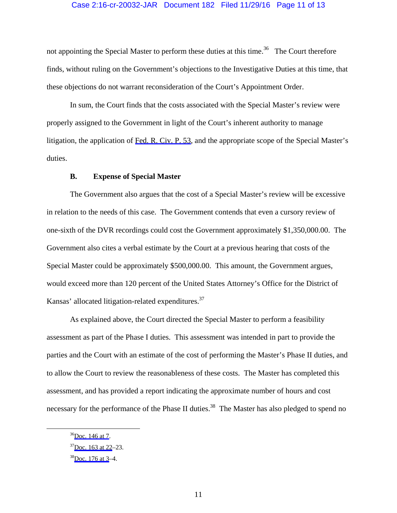## Case 2:16-cr-20032-JAR Document 182 Filed 11/29/16 Page 11 of 13

not appointing the Special Master to perform these duties at this time.<sup>36</sup> The Court therefore finds, without ruling on the Government's objections to the Investigative Duties at this time, that these objections do not warrant reconsideration of the Court's Appointment Order.

In sum, the Court finds that the costs associated with the Special Master's review were properly assigned to the Government in light of the Court's inherent authority to manage litigation, the application of [Fed. R. Civ. P. 53](https://www.westlaw.com/Link/Document/FullText?rs=USCLink&vr=3.0&findType=Y&cite=FRCP+53&clientid=USCourts), and the appropriate scope of the Special Master's duties.

## **B. Expense of Special Master**

The Government also argues that the cost of a Special Master's review will be excessive in relation to the needs of this case. The Government contends that even a cursory review of one-sixth of the DVR recordings could cost the Government approximately \$1,350,000.00. The Government also cites a verbal estimate by the Court at a previous hearing that costs of the Special Master could be approximately \$500,000.00. This amount, the Government argues, would exceed more than 120 percent of the United States Attorney's Office for the District of Kansas' allocated litigation-related expenditures.<sup>37</sup>

As explained above, the Court directed the Special Master to perform a feasibility assessment as part of the Phase I duties. This assessment was intended in part to provide the parties and the Court with an estimate of the cost of performing the Master's Phase II duties, and to allow the Court to review the reasonableness of these costs. The Master has completed this assessment, and has provided a report indicating the approximate number of hours and cost necessary for the performance of the Phase II duties.<sup>38</sup> The Master has also pledged to spend no

 <sup>3</sup>[6Doc. 146 at 7](https://jenie.ao.dcn/ksd-ecf/d/cmecfservices/rest/file/finddoc?caseYear=2016&caseNum=20032&caseType=cr&caseOffice=2&docNum=146#page=7).

 $37$ Doc. 163 at 22–23.

 $38$ Doc. 176 at 3–4.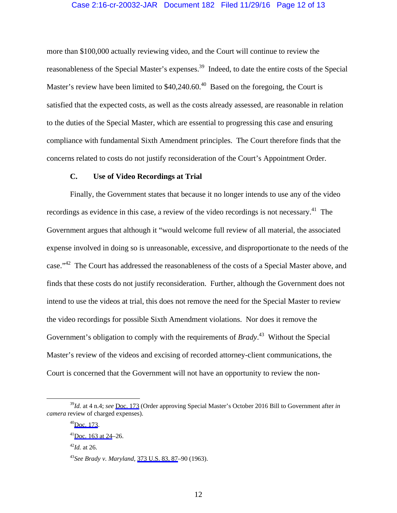#### Case 2:16-cr-20032-JAR Document 182 Filed 11/29/16 Page 12 of 13

more than \$100,000 actually reviewing video, and the Court will continue to review the reasonableness of the Special Master's expenses.<sup>39</sup> Indeed, to date the entire costs of the Special Master's review have been limited to  $$40,240.60$ .<sup>40</sup> Based on the foregoing, the Court is satisfied that the expected costs, as well as the costs already assessed, are reasonable in relation to the duties of the Special Master, which are essential to progressing this case and ensuring compliance with fundamental Sixth Amendment principles. The Court therefore finds that the concerns related to costs do not justify reconsideration of the Court's Appointment Order.

# **C. Use of Video Recordings at Trial**

Finally, the Government states that because it no longer intends to use any of the video recordings as evidence in this case, a review of the video recordings is not necessary.<sup>41</sup> The Government argues that although it "would welcome full review of all material, the associated expense involved in doing so is unreasonable, excessive, and disproportionate to the needs of the case."42 The Court has addressed the reasonableness of the costs of a Special Master above, and finds that these costs do not justify reconsideration. Further, although the Government does not intend to use the videos at trial, this does not remove the need for the Special Master to review the video recordings for possible Sixth Amendment violations. Nor does it remove the Government's obligation to comply with the requirements of *Brady*. 43 Without the Special Master's review of the videos and excising of recorded attorney-client communications, the Court is concerned that the Government will not have an opportunity to review the non-

 <sup>39</sup>*Id.* at 4 n.4; *see* [Doc. 173](https://jenie.ao.dcn/ksd-ecf/d/cmecfservices/rest/file/finddoc?caseYear=2016&caseNum=20032&caseType=cr&caseOffice=2&docNum=173) (Order approving Special Master's October 2016 Bill to Government after *in camera* review of charged expenses).

 $^{40}$ Doc. 173.

 $41$ Doc. 163 at 24–26.

 $^{42}$ *Id.* at 26.

<sup>43</sup>*See Brady v. Maryland*, [373 U.S. 83, 87](https://www.westlaw.com/Link/Document/FullText?rs=USCLink&vr=3.0&findType=Y&cite=373++u.s.++83&refPos=87&refPosType=s&clientid=USCourts)–90 (1963).